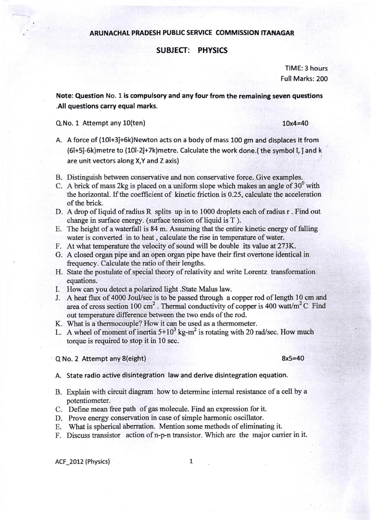## ARUNACHAL PRADESH PUBLIC SERVICE COMMISSION ITANAGAR

## SUBJECT: PHYSICS

TIME: 3 hours Full Marks: 200

Note: Question No. 1is compulsory and any four from the remaining seven questions .All questions carry equal marks.

 $Q.$ No. 1 Attempt any  $10$ (ten)  $10x4=40$ 

- A. A force of (10î+3ĵ+6k)Newton acts on a body of mass 100 gm and displaces it from (6î+5ĵ-6k)metre to (10î-2ĵ+7k)metre. Calculate the work done.(the symbol î, ĵ and k are unit vectors along X,Y and Z axis)
- B. Distinguish between conservative and non conservative force. Give examples.
- C. A brick of mass 2kg is placed on a uniform slope which makes an angle of  $30^{\circ}$  with the horizontal. If the coefficient of kinetic friction is 0.25, calculate the acceleration of the brick.
- D. A drop of liquid of radius R splits up in to 1000 droplets each of radius r. Find out change in swface energy. (surface tension of liquid is T ).
- E. The height of a waterfall is 84 m. Assuming that the entire kinetic energy of falling water is converted in to heat , calculate the rise in temperature of water.
- F. At what temperature the velocity of sound will be double its value at 273K.
- G. A closed organ pipe and an open organ pipe have their first overtone identical in frequency. Calculate the ratio of their lengths.
- H. State the postulate of special theory of relativity and write Lorentz transformation equations.
- I. How can you de{ect a polarized light .State Malus law.
- J. A heat flux of 4000 Joul/sec is to be passed through a copper rod of length 10 cm and area of cross section 100 cm<sup>2</sup>. Thermal conductivity of copper is 400 watt/m<sup>2</sup> C Find out temperature difference between the two ends of the rod.
- K. What is a thermocouple? How it can be used as a thermometer.
- L. A wheel of moment of inertia  $5+10^3$  kg-m<sup>2</sup> is rotating with 20 rad/sec. How much torque is required to stop it in 10 sec.

Q No. 2 Attempt any 8(eight) 8x5=40

A. State radio active disintegration law and derive disintegration equation.

- B. Explain with circuit diagram how to determine internal resistance of a cell by a potentiometer.
- C. Define mean free path of gas molecule. Find an expression for it.
- D. Prove energy conservation in case of simple harmonic oscillator.

E. What is spherical aberration. Mention some methods of eliminating it.

F. Discuss transistor action of n-p-n transistor. Which are the major carrier in it.

ACF\_2012 (Physics)